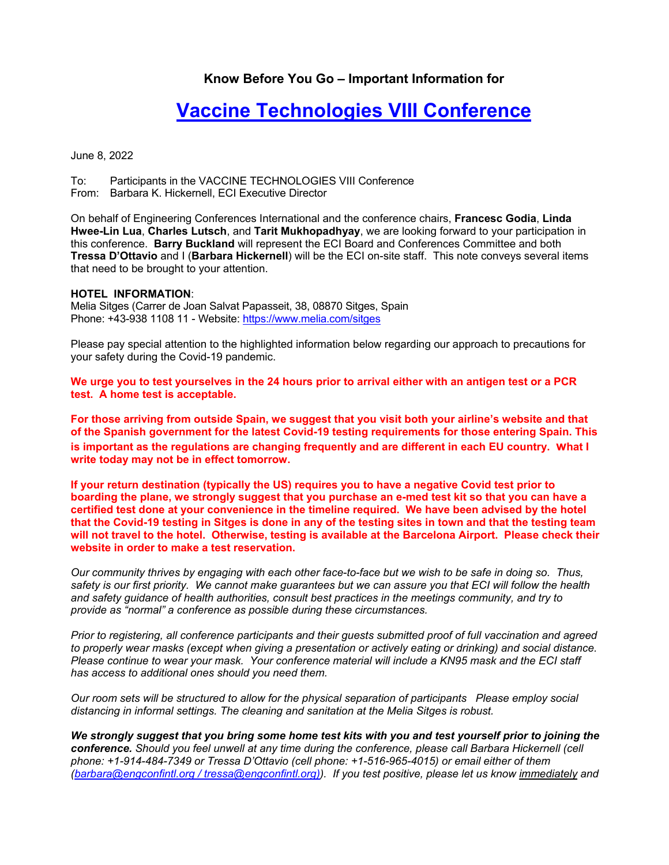## **Know Before You Go – Important Information for**

## **Vaccine Technologies VIII Conference**

June 8, 2022

To: Participants in the VACCINE TECHNOLOGIES VIII Conference From: Barbara K. Hickernell, ECI Executive Director

On behalf of Engineering Conferences International and the conference chairs, **Francesc Godia**, **Linda Hwee-Lin Lua**, **Charles Lutsch**, and **Tarit Mukhopadhyay**, we are looking forward to your participation in this conference. **Barry Buckland** will represent the ECI Board and Conferences Committee and both **Tressa D'Ottavio** and I (**Barbara Hickernell**) will be the ECI on-site staff. This note conveys several items that need to be brought to your attention.

## **HOTEL INFORMATION**:

Melia Sitges (Carrer de Joan Salvat Papasseit, 38, 08870 Sitges, Spain Phone: +43-938 1108 11 - Website: https://www.melia.com/sitges

Please pay special attention to the highlighted information below regarding our approach to precautions for your safety during the Covid-19 pandemic.

**We urge you to test yourselves in the 24 hours prior to arrival either with an antigen test or a PCR test. A home test is acceptable.** 

**For those arriving from outside Spain, we suggest that you visit both your airline's website and that of the Spanish government for the latest Covid-19 testing requirements for those entering Spain. This is important as the regulations are changing frequently and are different in each EU country. what I write today may not be in effect tomorrow.** 

**If your return destination (typically the US) requires you to have a negative Covid test prior to boarding the plane, we strongly suggest that you purchase an e-med test kit so that you can have a certified test done at your convenience in the timeline required. We have been advised by the hotel that the Covid-19 testing in Sitges is done in any of the testing sites in town and that the testing team will not travel to the hotel. Otherwise, testing is available at the Barcelona Airport. Please check their website in order to make a test reservation.** 

*Our community thrives by engaging with each other face-to-face but we wish to be safe in doing so. Thus, safety is our first priority. We cannot make guarantees but we can assure you that ECI will follow the health and safety guidance of health authorities, consult best practices in the meetings community, and try to provide as "normal" a conference as possible during these circumstances.* 

*Prior to registering, all conference participants and their guests submitted proof of full vaccination and agreed to properly wear masks (except when giving a presentation or actively eating or drinking) and social distance. Please continue to wear your mask. Your conference material will include a KN95 mask and the ECI staff has access to additional ones should you need them.* 

*Our room sets will be structured to allow for the physical separation of participants Please employ social distancing in informal settings. The cleaning and sanitation at the Melia Sitges is robust.* 

*We strongly suggest that you bring some home test kits with you and test yourself prior to joining the conference. Should you feel unwell at any time during the conference, please call Barbara Hickernell (cell phone: +1-914-484-7349 or Tressa D'Ottavio (cell phone: +1-516-965-4015) or email either of them (barbara@engconfintl.org / tressa@engconfintl.org)). If you test positive, please let us know immediately and*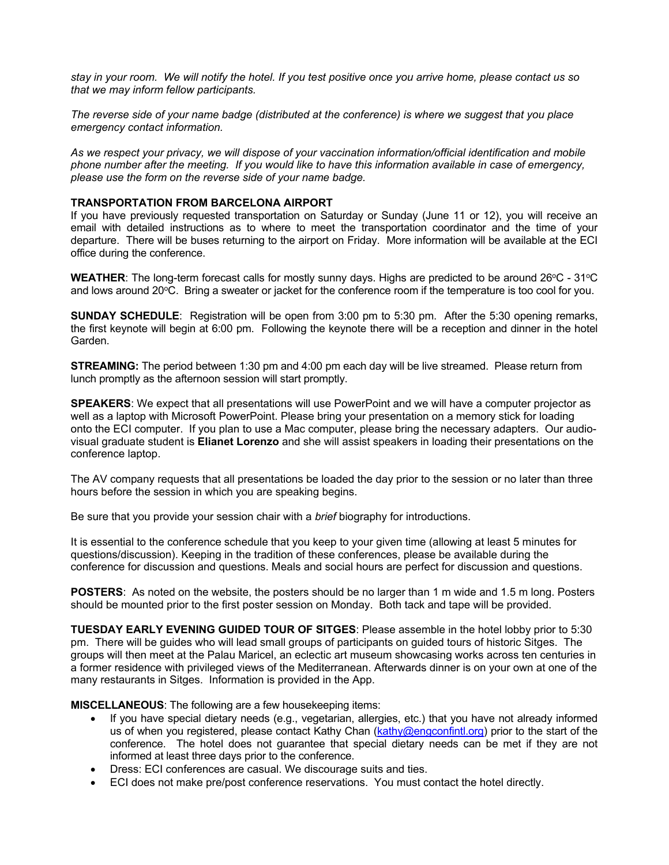*stay in your room. We will notify the hotel. If you test positive once you arrive home, please contact us so that we may inform fellow participants.* 

*The reverse side of your name badge (distributed at the conference) is where we suggest that you place emergency contact information.* 

*As we respect your privacy, we will dispose of your vaccination information/official identification and mobile phone number after the meeting. If you would like to have this information available in case of emergency, please use the form on the reverse side of your name badge.*

## **TRANSPORTATION FROM BARCELONA AIRPORT**

If you have previously requested transportation on Saturday or Sunday (June 11 or 12), you will receive an email with detailed instructions as to where to meet the transportation coordinator and the time of your departure. There will be buses returning to the airport on Friday. More information will be available at the ECI office during the conference.

**WEATHER:** The long-term forecast calls for mostly sunny days. Highs are predicted to be around 26°C - 31°C and lows around 20 $\degree$ C. Bring a sweater or jacket for the conference room if the temperature is too cool for you.

**SUNDAY SCHEDULE**: Registration will be open from 3:00 pm to 5:30 pm. After the 5:30 opening remarks, the first keynote will begin at 6:00 pm. Following the keynote there will be a reception and dinner in the hotel Garden.

**STREAMING:** The period between 1:30 pm and 4:00 pm each day will be live streamed. Please return from lunch promptly as the afternoon session will start promptly.

**SPEAKERS:** We expect that all presentations will use PowerPoint and we will have a computer projector as well as a laptop with Microsoft PowerPoint. Please bring your presentation on a memory stick for loading onto the ECI computer. If you plan to use a Mac computer, please bring the necessary adapters. Our audiovisual graduate student is **Elianet Lorenzo** and she will assist speakers in loading their presentations on the conference laptop.

The AV company requests that all presentations be loaded the day prior to the session or no later than three hours before the session in which you are speaking begins.

Be sure that you provide your session chair with a *brief* biography for introductions.

It is essential to the conference schedule that you keep to your given time (allowing at least 5 minutes for questions/discussion). Keeping in the tradition of these conferences, please be available during the conference for discussion and questions. Meals and social hours are perfect for discussion and questions.

**POSTERS**: As noted on the website, the posters should be no larger than 1 m wide and 1.5 m long. Posters should be mounted prior to the first poster session on Monday. Both tack and tape will be provided.

**TUESDAY EARLY EVENING GUIDED TOUR OF SITGES**: Please assemble in the hotel lobby prior to 5:30 pm. There will be guides who will lead small groups of participants on guided tours of historic Sitges. The groups will then meet at the Palau Maricel, an eclectic art museum showcasing works across ten centuries in a former residence with privileged views of the Mediterranean. Afterwards dinner is on your own at one of the many restaurants in Sitges. Information is provided in the App.

**MISCELLANEOUS**: The following are a few housekeeping items:

- If you have special dietary needs (e.g., vegetarian, allergies, etc.) that you have not already informed us of when you registered, please contact Kathy Chan (kathy@engconfintl.org) prior to the start of the conference. The hotel does not guarantee that special dietary needs can be met if they are not informed at least three days prior to the conference.
- Dress: ECI conferences are casual. We discourage suits and ties.
- ECI does not make pre/post conference reservations. You must contact the hotel directly.